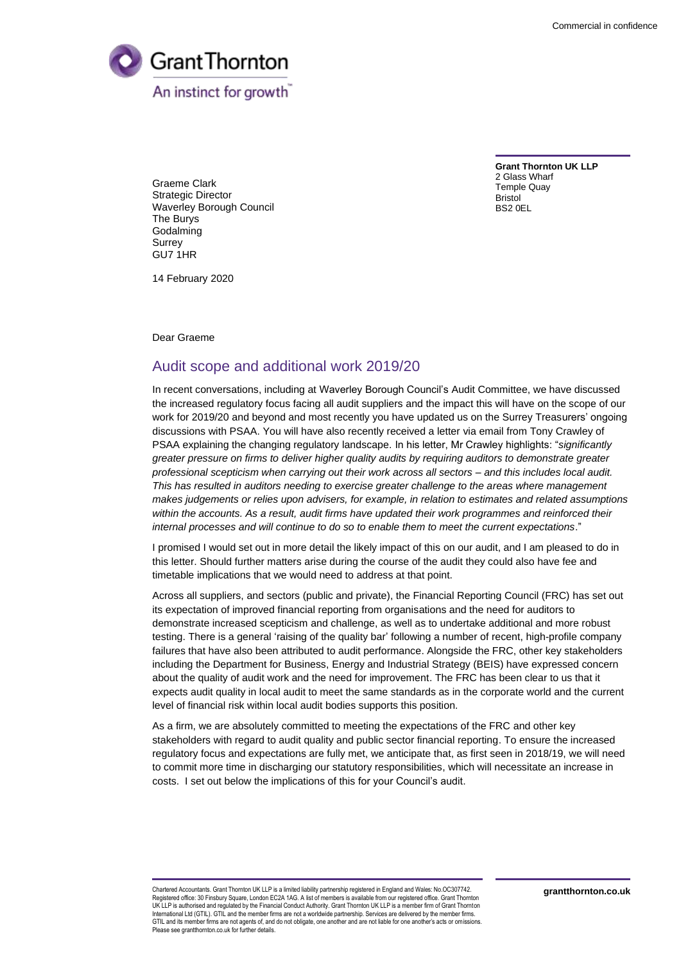

**Grant Thornton UK LLP** 2 Glass Wharf Temple Quay Bristol BS2 0EL

Graeme Clark Strategic Director Waverley Borough Council The Burys Godalming Surrey GU7 1HR

14 February 2020

Dear Graeme

# Audit scope and additional work 2019/20

In recent conversations, including at Waverley Borough Council's Audit Committee, we have discussed the increased regulatory focus facing all audit suppliers and the impact this will have on the scope of our work for 2019/20 and beyond and most recently you have updated us on the Surrey Treasurers' ongoing discussions with PSAA. You will have also recently received a letter via email from Tony Crawley of PSAA explaining the changing regulatory landscape. In his letter, Mr Crawley highlights: "*significantly greater pressure on firms to deliver higher quality audits by requiring auditors to demonstrate greater professional scepticism when carrying out their work across all sectors – and this includes local audit. This has resulted in auditors needing to exercise greater challenge to the areas where management makes judgements or relies upon advisers, for example, in relation to estimates and related assumptions within the accounts. As a result, audit firms have updated their work programmes and reinforced their internal processes and will continue to do so to enable them to meet the current expectations*."

I promised I would set out in more detail the likely impact of this on our audit, and I am pleased to do in this letter. Should further matters arise during the course of the audit they could also have fee and timetable implications that we would need to address at that point.

Across all suppliers, and sectors (public and private), the Financial Reporting Council (FRC) has set out its expectation of improved financial reporting from organisations and the need for auditors to demonstrate increased scepticism and challenge, as well as to undertake additional and more robust testing. There is a general 'raising of the quality bar' following a number of recent, high-profile company failures that have also been attributed to audit performance. Alongside the FRC, other key stakeholders including the Department for Business, Energy and Industrial Strategy (BEIS) have expressed concern about the quality of audit work and the need for improvement. The FRC has been clear to us that it expects audit quality in local audit to meet the same standards as in the corporate world and the current level of financial risk within local audit bodies supports this position.

As a firm, we are absolutely committed to meeting the expectations of the FRC and other key stakeholders with regard to audit quality and public sector financial reporting. To ensure the increased regulatory focus and expectations are fully met, we anticipate that, as first seen in 2018/19, we will need to commit more time in discharging our statutory responsibilities, which will necessitate an increase in costs. I set out below the implications of this for your Council's audit.

Chartered Accountants. Grant Thornton UK LLP is a limited liability partnership registered in England and Wales: No.OC307742. Registered office: 30 Finsbury Square, London EC2A 1AG. A list of members is available from our registered office. Grant Thornton UK LLP is authorised and regulated by the Financial Conduct Authority. Grant Thornton UK LLP is a member firm of Grant Thornton International Ltd (GTIL). GTIL and the member firms are not a worldwide partnership. Services are delivered by the member firms GTIL and its member firms are not agents of, and do not obligate, one another and are not liable for one another's acts or omissions Please see grantthornton.co.uk for further details.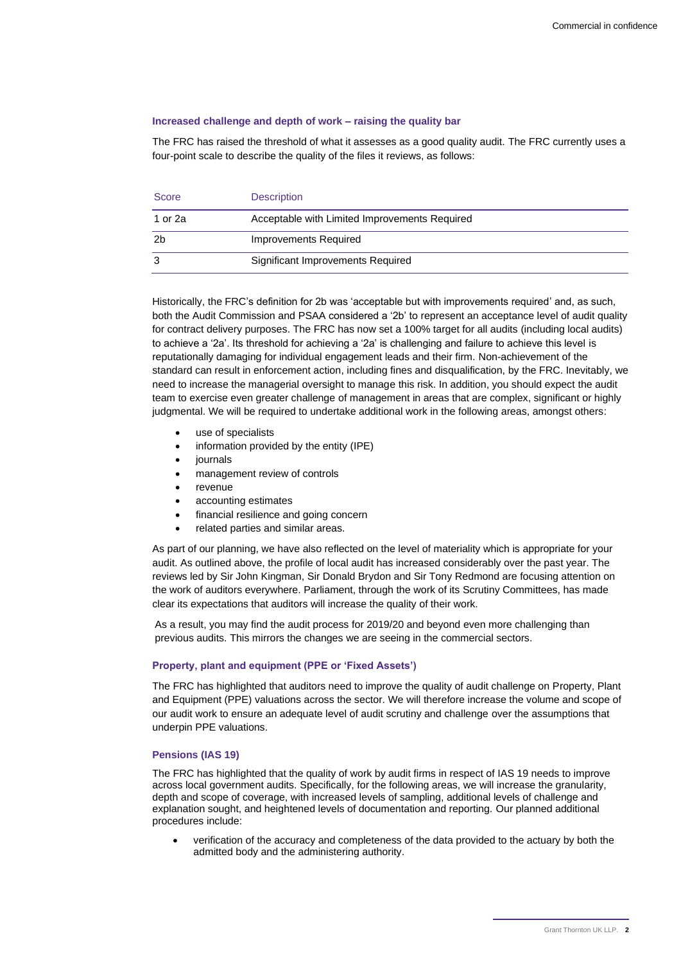# **Increased challenge and depth of work – raising the quality bar**

The FRC has raised the threshold of what it assesses as a good quality audit. The FRC currently uses a four-point scale to describe the quality of the files it reviews, as follows:

| Score          | <b>Description</b>                            |
|----------------|-----------------------------------------------|
| 1 or 2a        | Acceptable with Limited Improvements Required |
| 2 <sub>b</sub> | Improvements Required                         |
| 3              | Significant Improvements Required             |

Historically, the FRC's definition for 2b was 'acceptable but with improvements required' and, as such, both the Audit Commission and PSAA considered a '2b' to represent an acceptance level of audit quality for contract delivery purposes. The FRC has now set a 100% target for all audits (including local audits) to achieve a '2a'. Its threshold for achieving a '2a' is challenging and failure to achieve this level is reputationally damaging for individual engagement leads and their firm. Non-achievement of the standard can result in enforcement action, including fines and disqualification, by the FRC. Inevitably, we need to increase the managerial oversight to manage this risk. In addition, you should expect the audit team to exercise even greater challenge of management in areas that are complex, significant or highly judgmental. We will be required to undertake additional work in the following areas, amongst others:

- use of specialists
- information provided by the entity (IPE)
- journals
- management review of controls
- **revenue**
- accounting estimates
- financial resilience and going concern
- related parties and similar areas.

As part of our planning, we have also reflected on the level of materiality which is appropriate for your audit. As outlined above, the profile of local audit has increased considerably over the past year. The reviews led by Sir John Kingman, Sir Donald Brydon and Sir Tony Redmond are focusing attention on the work of auditors everywhere. Parliament, through the work of its Scrutiny Committees, has made clear its expectations that auditors will increase the quality of their work.

As a result, you may find the audit process for 2019/20 and beyond even more challenging than previous audits. This mirrors the changes we are seeing in the commercial sectors.

### **Property, plant and equipment (PPE or 'Fixed Assets')**

The FRC has highlighted that auditors need to improve the quality of audit challenge on Property, Plant and Equipment (PPE) valuations across the sector. We will therefore increase the volume and scope of our audit work to ensure an adequate level of audit scrutiny and challenge over the assumptions that underpin PPE valuations.

## **Pensions (IAS 19)**

The FRC has highlighted that the quality of work by audit firms in respect of IAS 19 needs to improve across local government audits. Specifically, for the following areas, we will increase the granularity, depth and scope of coverage, with increased levels of sampling, additional levels of challenge and explanation sought, and heightened levels of documentation and reporting. Our planned additional procedures include:

• verification of the accuracy and completeness of the data provided to the actuary by both the admitted body and the administering authority.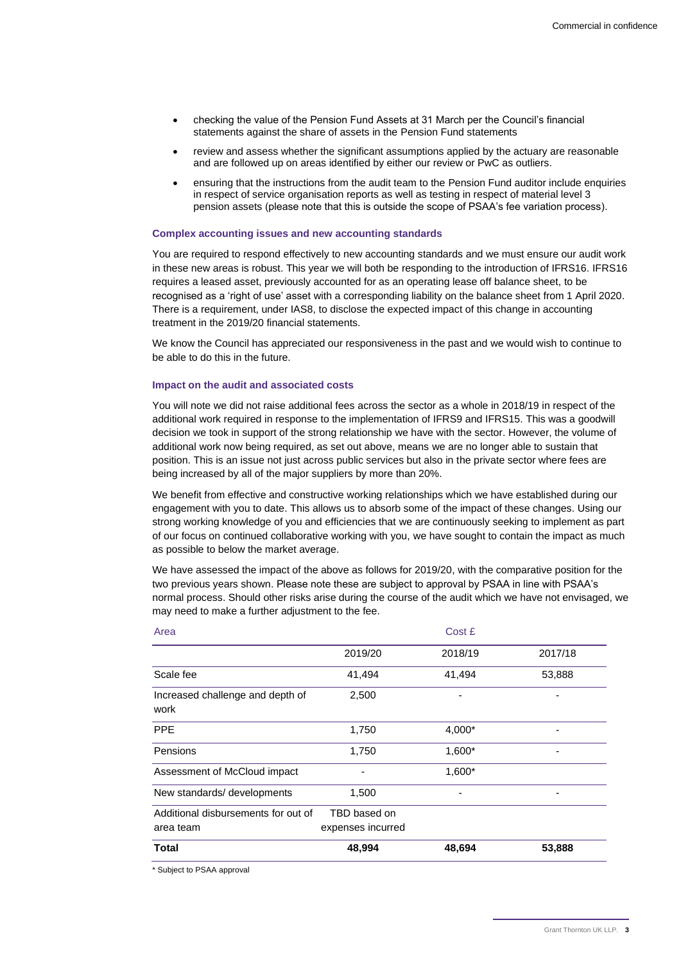- checking the value of the Pension Fund Assets at 31 March per the Council's financial statements against the share of assets in the Pension Fund statements
- review and assess whether the significant assumptions applied by the actuary are reasonable and are followed up on areas identified by either our review or PwC as outliers.
- ensuring that the instructions from the audit team to the Pension Fund auditor include enquiries in respect of service organisation reports as well as testing in respect of material level 3 pension assets (please note that this is outside the scope of PSAA's fee variation process).

#### **Complex accounting issues and new accounting standards**

You are required to respond effectively to new accounting standards and we must ensure our audit work in these new areas is robust. This year we will both be responding to the introduction of IFRS16. IFRS16 requires a leased asset, previously accounted for as an operating lease off balance sheet, to be recognised as a 'right of use' asset with a corresponding liability on the balance sheet from 1 April 2020. There is a requirement, under IAS8, to disclose the expected impact of this change in accounting treatment in the 2019/20 financial statements.

We know the Council has appreciated our responsiveness in the past and we would wish to continue to be able to do this in the future.

# **Impact on the audit and associated costs**

You will note we did not raise additional fees across the sector as a whole in 2018/19 in respect of the additional work required in response to the implementation of IFRS9 and IFRS15. This was a goodwill decision we took in support of the strong relationship we have with the sector. However, the volume of additional work now being required, as set out above, means we are no longer able to sustain that position. This is an issue not just across public services but also in the private sector where fees are being increased by all of the major suppliers by more than 20%.

We benefit from effective and constructive working relationships which we have established during our engagement with you to date. This allows us to absorb some of the impact of these changes. Using our strong working knowledge of you and efficiencies that we are continuously seeking to implement as part of our focus on continued collaborative working with you, we have sought to contain the impact as much as possible to below the market average.

We have assessed the impact of the above as follows for 2019/20, with the comparative position for the two previous years shown. Please note these are subject to approval by PSAA in line with PSAA's normal process. Should other risks arise during the course of the audit which we have not envisaged, we may need to make a further adjustment to the fee.

| Total                                    | 48,994            | 48,694  | 53,888  |
|------------------------------------------|-------------------|---------|---------|
| area team                                | expenses incurred |         |         |
| Additional disbursements for out of      | TBD based on      |         |         |
| New standards/ developments              | 1,500             |         |         |
| Assessment of McCloud impact             |                   | 1,600*  |         |
| Pensions                                 | 1,750             | 1,600*  |         |
| <b>PPE</b>                               | 1,750             | 4,000*  |         |
| Increased challenge and depth of<br>work | 2,500             |         |         |
| Scale fee                                | 41,494            | 41,494  | 53,888  |
|                                          | 2019/20           | 2018/19 | 2017/18 |
| Area                                     | Cost £            |         |         |

\* Subject to PSAA approval